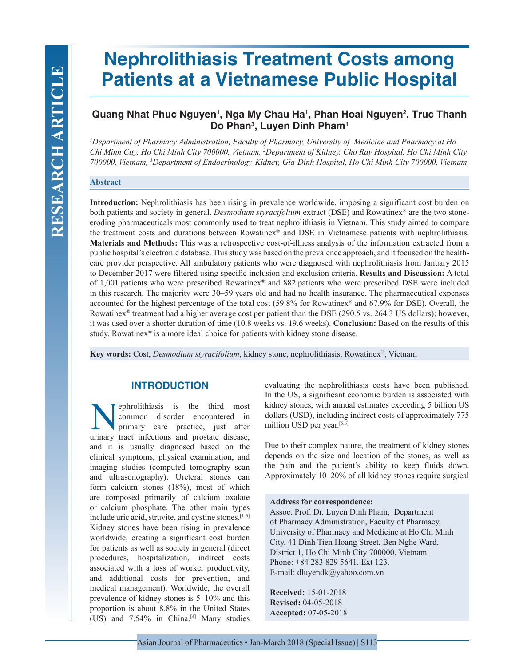# **Nephrolithiasis Treatment Costs among Patients at a Vietnamese Public Hospital**

# Quang Nhat Phuc Nguyen<sup>1</sup>, Nga My Chau Ha<sup>1</sup>, Phan Hoai Nguyen<sup>2</sup>, Truc Thanh **Do Phan3 , Luyen Dinh Pham1**

*1 Department of Pharmacy Administration, Faculty of Pharmacy, University of Medicine and Pharmacy at Ho Chi Minh City, Ho Chi Minh City 700000, Vietnam, 2 Department of Kidney, Cho Ray Hospital, Ho Chi Minh City 700000, Vietnam, 3 Department of Endocrinology-Kidney, Gia-Dinh Hospital, Ho Chi Minh City 700000, Vietnam*

## **Abstract**

**Introduction:** Nephrolithiasis has been rising in prevalence worldwide, imposing a significant cost burden on both patients and society in general. *Desmodium styracifolium* extract (DSE) and Rowatinex® are the two stoneeroding pharmaceuticals most commonly used to treat nephrolithiasis in Vietnam. This study aimed to compare the treatment costs and durations between Rowatinex® and DSE in Vietnamese patients with nephrolithiasis. **Materials and Methods:** This was a retrospective cost-of-illness analysis of the information extracted from a public hospital's electronic database. This study was based on the prevalence approach, and it focused on the healthcare provider perspective. All ambulatory patients who were diagnosed with nephrolithiasis from January 2015 to December 2017 were filtered using specific inclusion and exclusion criteria. **Results and Discussion:** A total of 1,001 patients who were prescribed Rowatinex® and 882 patients who were prescribed DSE were included in this research. The majority were 30–59 years old and had no health insurance. The pharmaceutical expenses accounted for the highest percentage of the total cost (59.8% for Rowatinex® and 67.9% for DSE). Overall, the Rowatinex® treatment had a higher average cost per patient than the DSE (290.5 vs. 264.3 US dollars); however, it was used over a shorter duration of time (10.8 weeks vs. 19.6 weeks). **Conclusion:** Based on the results of this study, Rowatinex® is a more ideal choice for patients with kidney stone disease.

**Key words:** Cost, *Desmodium styracifolium*, kidney stone, nephrolithiasis, Rowatinex®, Vietnam

# **INTRODUCTION**

**Nephrolithiasis** is the third most<br>common disorder encountered in<br>primary care practice, just after<br>urinary tract infections and prostate disease common disorder encountered in primary care practice, just after urinary tract infections and prostate disease, and it is usually diagnosed based on the clinical symptoms, physical examination, and imaging studies (computed tomography scan and ultrasonography). Ureteral stones can form calcium stones (18%), most of which are composed primarily of calcium oxalate or calcium phosphate. The other main types include uric acid, struvite, and cystine stones.<sup>[1-3]</sup> Kidney stones have been rising in prevalence worldwide, creating a significant cost burden for patients as well as society in general (direct procedures, hospitalization, indirect costs associated with a loss of worker productivity, and additional costs for prevention, and medical management). Worldwide, the overall prevalence of kidney stones is 5–10% and this proportion is about 8.8% in the United States (US) and 7.54% in China.<sup>[4]</sup> Many studies

evaluating the nephrolithiasis costs have been published. In the US, a significant economic burden is associated with kidney stones, with annual estimates exceeding 5 billion US dollars (USD), including indirect costs of approximately 775 million USD per year.[5,6]

Due to their complex nature, the treatment of kidney stones depends on the size and location of the stones, as well as the pain and the patient's ability to keep fluids down. Approximately 10–20% of all kidney stones require surgical

#### **Address for correspondence:**

Assoc. Prof. Dr. Luyen Dinh Pham, Department of Pharmacy Administration, Faculty of Pharmacy, University of Pharmacy and Medicine at Ho Chi Minh City, 41 Dinh Tien Hoang Street, Ben Nghe Ward, District 1, Ho Chi Minh City 700000, Vietnam. Phone: +84 283 829 5641. Ext 123. E-mail: dluyendk@yahoo.com.vn

**Received:** 15-01-2018 **Revised:** 04-05-2018 **Accepted:** 07-05-2018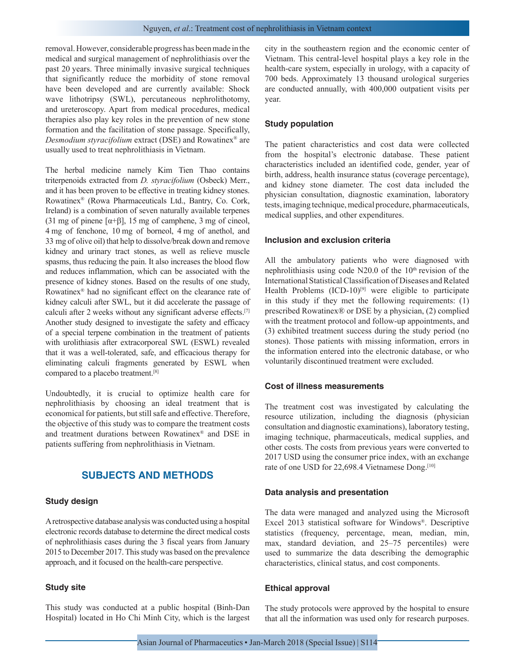removal. However, considerable progress has been made in the medical and surgical management of nephrolithiasis over the past 20 years. Three minimally invasive surgical techniques that significantly reduce the morbidity of stone removal have been developed and are currently available: Shock wave lithotripsy (SWL), percutaneous nephrolithotomy, and ureteroscopy. Apart from medical procedures, medical therapies also play key roles in the prevention of new stone formation and the facilitation of stone passage. Specifically, *Desmodium styracifolium* extract (DSE) and Rowatinex® are usually used to treat nephrolithiasis in Vietnam.

The herbal medicine namely Kim Tien Thao contains triterpenoids extracted from *D. styracifolium* (Osbeck) Merr., and it has been proven to be effective in treating kidney stones. Rowatinex® (Rowa Pharmaceuticals Ltd., Bantry, Co. Cork, Ireland) is a combination of seven naturally available terpenes (31 mg of pinene [ $\alpha$ + $\beta$ ], 15 mg of camphene, 3 mg of cineol, 4 mg of fenchone, 10 mg of borneol, 4 mg of anethol, and 33 mg of olive oil) that help to dissolve/break down and remove kidney and urinary tract stones, as well as relieve muscle spasms, thus reducing the pain. It also increases the blood flow and reduces inflammation, which can be associated with the presence of kidney stones. Based on the results of one study, Rowatinex® had no significant effect on the clearance rate of kidney calculi after SWL, but it did accelerate the passage of calculi after 2 weeks without any significant adverse effects.[7] Another study designed to investigate the safety and efficacy of a special terpene combination in the treatment of patients with urolithiasis after extracorporeal SWL (ESWL) revealed that it was a well-tolerated, safe, and efficacious therapy for eliminating calculi fragments generated by ESWL when compared to a placebo treatment.[8]

Undoubtedly, it is crucial to optimize health care for nephrolithiasis by choosing an ideal treatment that is economical for patients, but still safe and effective. Therefore, the objective of this study was to compare the treatment costs and treatment durations between Rowatinex® and DSE in patients suffering from nephrolithiasis in Vietnam.

# **SUBJECTS AND METHODS**

#### **Study design**

A retrospective database analysis was conducted using a hospital electronic records database to determine the direct medical costs of nephrolithiasis cases during the 3 fiscal years from January 2015 to December 2017. This study was based on the prevalence approach, and it focused on the health-care perspective.

## **Study site**

This study was conducted at a public hospital (Binh-Dan Hospital) located in Ho Chi Minh City, which is the largest city in the southeastern region and the economic center of Vietnam. This central-level hospital plays a key role in the health-care system, especially in urology, with a capacity of 700 beds. Approximately 13 thousand urological surgeries are conducted annually, with 400,000 outpatient visits per year.

## **Study population**

The patient characteristics and cost data were collected from the hospital's electronic database. These patient characteristics included an identified code, gender, year of birth, address, health insurance status (coverage percentage), and kidney stone diameter. The cost data included the physician consultation, diagnostic examination, laboratory tests, imaging technique, medical procedure, pharmaceuticals, medical supplies, and other expenditures.

#### **Inclusion and exclusion criteria**

All the ambulatory patients who were diagnosed with nephrolithiasis using code  $N20.0$  of the  $10<sup>th</sup>$  revision of the International Statistical Classification of Diseases and Related Health Problems  $(ICD-10)^{9}$  were eligible to participate in this study if they met the following requirements: (1) prescribed Rowatinex® or DSE by a physician, (2) complied with the treatment protocol and follow-up appointments, and (3) exhibited treatment success during the study period (no stones). Those patients with missing information, errors in the information entered into the electronic database, or who voluntarily discontinued treatment were excluded.

#### **Cost of illness measurements**

The treatment cost was investigated by calculating the resource utilization, including the diagnosis (physician consultation and diagnostic examinations), laboratory testing, imaging technique, pharmaceuticals, medical supplies, and other costs. The costs from previous years were converted to 2017 USD using the consumer price index, with an exchange rate of one USD for 22,698.4 Vietnamese Dong.<sup>[10]</sup>

#### **Data analysis and presentation**

The data were managed and analyzed using the Microsoft Excel 2013 statistical software for Windows®. Descriptive statistics (frequency, percentage, mean, median, min, max, standard deviation, and 25–75 percentiles) were used to summarize the data describing the demographic characteristics, clinical status, and cost components.

#### **Ethical approval**

The study protocols were approved by the hospital to ensure that all the information was used only for research purposes.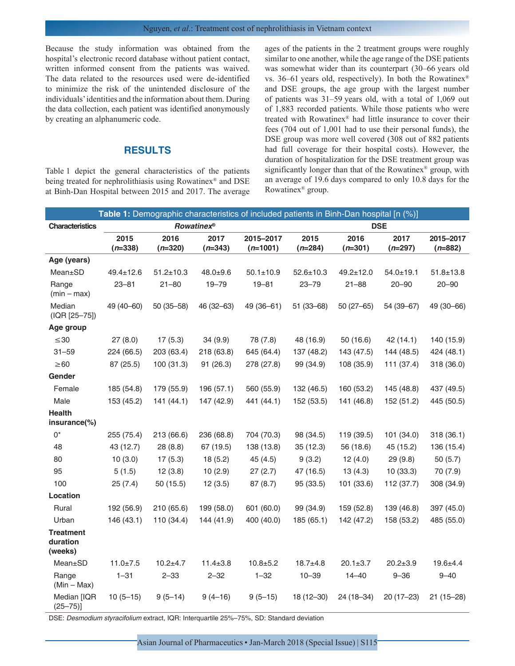Because the study information was obtained from the hospital's electronic record database without patient contact, written informed consent from the patients was waived. The data related to the resources used were de-identified to minimize the risk of the unintended disclosure of the individuals' identities and the information about them. During the data collection, each patient was identified anonymously by creating an alphanumeric code.

## **RESULTS**

Table 1 depict the general characteristics of the patients being treated for nephrolithiasis using Rowatinex® and DSE at Binh-Dan Hospital between 2015 and 2017. The average ages of the patients in the 2 treatment groups were roughly similar to one another, while the age range of the DSE patients was somewhat wider than its counterpart (30–66 years old vs. 36–61 years old, respectively). In both the Rowatinex® and DSE groups, the age group with the largest number of patients was 31–59 years old, with a total of 1,069 out of 1,883 recorded patients. While those patients who were treated with Rowatinex® had little insurance to cover their fees (704 out of 1,001 had to use their personal funds), the DSE group was more well covered (308 out of 882 patients had full coverage for their hospital costs). However, the duration of hospitalization for the DSE treatment group was significantly longer than that of the Rowatinex® group, with an average of 19.6 days compared to only 10.8 days for the Rowatinex® group.

|                                         | Table 1: Demographic characteristics of included patients in Binh-Dan hospital [n (%)] |                   |                   |                         |                   |                   |                   |                        |  |
|-----------------------------------------|----------------------------------------------------------------------------------------|-------------------|-------------------|-------------------------|-------------------|-------------------|-------------------|------------------------|--|
| <b>Characteristics</b>                  | <b>Rowatinex<sup>®</sup></b>                                                           |                   |                   |                         | <b>DSE</b>        |                   |                   |                        |  |
|                                         | 2015<br>$(n=338)$                                                                      | 2016<br>$(n=320)$ | 2017<br>$(n=343)$ | 2015-2017<br>$(n=1001)$ | 2015<br>$(n=284)$ | 2016<br>$(n=301)$ | 2017<br>$(n=297)$ | 2015-2017<br>$(n=882)$ |  |
| Age (years)                             |                                                                                        |                   |                   |                         |                   |                   |                   |                        |  |
| Mean±SD                                 | $49.4 \pm 12.6$                                                                        | $51.2 \pm 10.3$   | $48.0 + 9.6$      | $50.1 \pm 10.9$         | $52.6 \pm 10.3$   | $49.2 \pm 12.0$   | $54.0 + 19.1$     | $51.8 \pm 13.8$        |  |
| Range<br>$(min - max)$                  | $23 - 81$                                                                              | $21 - 80$         | $19 - 79$         | $19 - 81$               | $23 - 79$         | $21 - 88$         | $20 - 90$         | $20 - 90$              |  |
| Median<br>(IQR [25-75])                 | 49 (40-60)                                                                             | $50(35 - 58)$     | 46 (32-63)        | 49 (36-61)              | $51(33 - 68)$     | $50(27 - 65)$     | 54 (39-67)        | 49 (30-66)             |  |
| Age group                               |                                                                                        |                   |                   |                         |                   |                   |                   |                        |  |
| $\leq$ 30                               | 27(8.0)                                                                                | 17(5.3)           | 34 (9.9)          | 78 (7.8)                | 48 (16.9)         | 50(16.6)          | 42 (14.1)         | 140 (15.9)             |  |
| $31 - 59$                               | 224 (66.5)                                                                             | 203 (63.4)        | 218 (63.8)        | 645 (64.4)              | 137 (48.2)        | 143 (47.5)        | 144 (48.5)        | 424 (48.1)             |  |
| $\geq 60$                               | 87 (25.5)                                                                              | 100 (31.3)        | 91 (26.3)         | 278 (27.8)              | 99 (34.9)         | 108 (35.9)        | 111 (37.4)        | 318 (36.0)             |  |
| Gender                                  |                                                                                        |                   |                   |                         |                   |                   |                   |                        |  |
| Female                                  | 185 (54.8)                                                                             | 179 (55.9)        | 196 (57.1)        | 560 (55.9)              | 132 (46.5)        | 160 (53.2)        | 145 (48.8)        | 437 (49.5)             |  |
| Male                                    | 153 (45.2)                                                                             | 141(44.1)         | 147 (42.9)        | 441 (44.1)              | 152 (53.5)        | 141 (46.8)        | 152 (51.2)        | 445 (50.5)             |  |
| <b>Health</b><br>$in$ surance $(\%)$    |                                                                                        |                   |                   |                         |                   |                   |                   |                        |  |
| $0^*$                                   | 255 (75.4)                                                                             | 213 (66.6)        | 236 (68.8)        | 704 (70.3)              | 98 (34.5)         | 119 (39.5)        | 101 (34.0)        | 318 (36.1)             |  |
| 48                                      | 43 (12.7)                                                                              | 28 (8.8)          | 67 (19.5)         | 138 (13.8)              | 35(12.3)          | 56 (18.6)         | 45 (15.2)         | 136 (15.4)             |  |
| 80                                      | 10(3.0)                                                                                | 17(5.3)           | 18(5.2)           | 45 (4.5)                | 9(3.2)            | 12(4.0)           | 29 (9.8)          | 50(5.7)                |  |
| 95                                      | 5(1.5)                                                                                 | 12(3.8)           | 10(2.9)           | 27(2.7)                 | 47 (16.5)         | 13(4.3)           | 10(33.3)          | 70 (7.9)               |  |
| 100                                     | 25(7.4)                                                                                | 50 (15.5)         | 12(3.5)           | 87 (8.7)                | 95 (33.5)         | 101 (33.6)        | 112 (37.7)        | 308 (34.9)             |  |
| Location                                |                                                                                        |                   |                   |                         |                   |                   |                   |                        |  |
| Rural                                   | 192 (56.9)                                                                             | 210 (65.6)        | 199 (58.0)        | 601 (60.0)              | 99 (34.9)         | 159 (52.8)        | 139 (46.8)        | 397 (45.0)             |  |
| Urban                                   | 146 (43.1)                                                                             | 110 (34.4)        | 144 (41.9)        | 400 (40.0)              | 185 (65.1)        | 142 (47.2)        | 158 (53.2)        | 485 (55.0)             |  |
| <b>Treatment</b><br>duration<br>(weeks) |                                                                                        |                   |                   |                         |                   |                   |                   |                        |  |
| Mean±SD                                 | $11.0 \pm 7.5$                                                                         | $10.2 + 4.7$      | $11.4 \pm 3.8$    | $10.8 + 5.2$            | $18.7 + 4.8$      | $20.1 \pm 3.7$    | $20.2 \pm 3.9$    | $19.6 + 4.4$           |  |
| Range<br>$(Min - Max)$                  | $1 - 31$                                                                               | $2 - 33$          | $2 - 32$          | $1 - 32$                | $10 - 39$         | $14 - 40$         | $9 - 36$          | $9 - 40$               |  |
| Median [IQR<br>$(25 - 75)$ ]            | $10(5 - 15)$                                                                           | $9(5-14)$         | $9(4-16)$         | $9(5-15)$               | $18(12 - 30)$     | 24 (18-34)        | $20(17-23)$       | $21(15-28)$            |  |

DSE: *Desmodium styracifolium* extract, IQR: Interquartile 25%–75%, SD: Standard deviation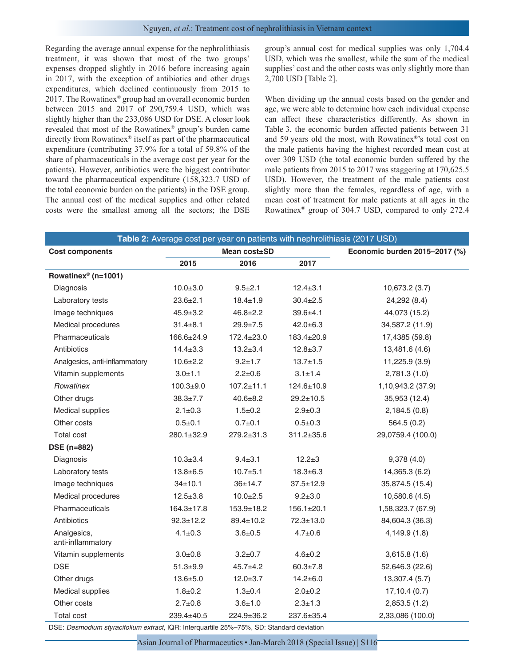Regarding the average annual expense for the nephrolithiasis treatment, it was shown that most of the two groups' expenses dropped slightly in 2016 before increasing again in 2017, with the exception of antibiotics and other drugs expenditures, which declined continuously from 2015 to 2017. The Rowatinex® group had an overall economic burden between 2015 and 2017 of 290,759.4 USD, which was slightly higher than the 233,086 USD for DSE. A closer look revealed that most of the Rowatinex® group's burden came directly from Rowatinex® itself as part of the pharmaceutical expenditure (contributing 37.9% for a total of 59.8% of the share of pharmaceuticals in the average cost per year for the patients). However, antibiotics were the biggest contributor toward the pharmaceutical expenditure (158,323.7 USD of the total economic burden on the patients) in the DSE group. The annual cost of the medical supplies and other related costs were the smallest among all the sectors; the DSE group's annual cost for medical supplies was only 1,704.4 USD, which was the smallest, while the sum of the medical supplies' cost and the other costs was only slightly more than 2,700 USD [Table 2].

When dividing up the annual costs based on the gender and age, we were able to determine how each individual expense can affect these characteristics differently. As shown in Table 3, the economic burden affected patients between 31 and 59 years old the most, with Rowatinex®'s total cost on the male patients having the highest recorded mean cost at over 309 USD (the total economic burden suffered by the male patients from 2015 to 2017 was staggering at 170,625.5 USD). However, the treatment of the male patients cost slightly more than the females, regardless of age, with a mean cost of treatment for male patients at all ages in the Rowatinex® group of 304.7 USD, compared to only 272.4

|                                  |                  | Table 2: Average cost per year on patients with nephrolithiasis (2017 USD) |                               |                   |
|----------------------------------|------------------|----------------------------------------------------------------------------|-------------------------------|-------------------|
| <b>Cost components</b>           |                  | Mean cost±SD                                                               | Economic burden 2015-2017 (%) |                   |
|                                  | 2015             | 2016                                                                       | 2017                          |                   |
| Rowatinex <sup>®</sup> (n=1001)  |                  |                                                                            |                               |                   |
| Diagnosis                        | $10.0 \pm 3.0$   | $9.5 + 2.1$                                                                | $12.4 \pm 3.1$                | 10,673.2 (3.7)    |
| Laboratory tests                 | $23.6 \pm 2.1$   | $18.4 \pm 1.9$                                                             | $30.4 \pm 2.5$                | 24,292 (8.4)      |
| Image techniques                 | $45.9 \pm 3.2$   | $46.8 \pm 2.2$                                                             | $39.6 + 4.1$                  | 44,073 (15.2)     |
| Medical procedures               | $31.4 \pm 8.1$   | $29.9 + 7.5$                                                               | $42.0 \pm 6.3$                | 34,587.2 (11.9)   |
| Pharmaceuticals                  | 166.6±24.9       | 172.4±23.0                                                                 | 183.4±20.9                    | 17,4385 (59.8)    |
| Antibiotics                      | $14.4 \pm 3.3$   | $13.2 \pm 3.4$                                                             | $12.8 \pm 3.7$                | 13,481.6 (4.6)    |
| Analgesics, anti-inflammatory    | $10.6 + 2.2$     | $9.2 \pm 1.7$                                                              | $13.7 + 1.5$                  | 11,225.9 (3.9)    |
| Vitamin supplements              | $3.0 + 1.1$      | $2.2 \pm 0.6$                                                              | $3.1 \pm 1.4$                 | 2,781.3(1.0)      |
| Rowatinex                        | $100.3 + 9.0$    | $107.2 \pm 11.1$                                                           | 124.6±10.9                    | 1,10,943.2 (37.9) |
| Other drugs                      | $38.3 \pm 7.7$   | $40.6 \pm 8.2$                                                             | $29.2 \pm 10.5$               | 35,953 (12.4)     |
| Medical supplies                 | $2.1 \pm 0.3$    | $1.5 \pm 0.2$                                                              | $2.9 \pm 0.3$                 | 2,184.5(0.8)      |
| Other costs                      | $0.5 + 0.1$      | $0.7 + 0.1$                                                                | $0.5 \pm 0.3$                 | 564.5 (0.2)       |
| <b>Total cost</b>                | 280.1±32.9       | 279.2±31.3                                                                 | 311.2±35.6                    | 29,0759.4 (100.0) |
| <b>DSE</b> (n=882)               |                  |                                                                            |                               |                   |
| Diagnosis                        | $10.3 \pm 3.4$   | $9.4 \pm 3.1$                                                              | $12.2 \pm 3$                  | 9,378(4.0)        |
| Laboratory tests                 | $13.8 + 6.5$     | $10.7 + 5.1$                                                               | $18.3 \pm 6.3$                | 14,365.3 (6.2)    |
| Image techniques                 | $34 \pm 10.1$    | 36±14.7                                                                    | $37.5 \pm 12.9$               | 35,874.5 (15.4)   |
| Medical procedures               | $12.5 + 3.8$     | $10.0 + 2.5$                                                               | $9.2 + 3.0$                   | 10,580.6 (4.5)    |
| Pharmaceuticals                  | $164.3 \pm 17.8$ | $153.9 \pm 18.2$                                                           | $156.1 \pm 20.1$              | 1,58,323.7 (67.9) |
| Antibiotics                      | $92.3 \pm 12.2$  | $89.4 \pm 10.2$                                                            | $72.3 \pm 13.0$               | 84,604.3 (36.3)   |
| Analgesics,<br>anti-inflammatory | $4.1 \pm 0.3$    | $3.6 + 0.5$                                                                | $4.7 + 0.6$                   | 4,149.9 (1.8)     |
| Vitamin supplements              | $3.0 + 0.8$      | $3.2 \pm 0.7$                                                              | $4.6 \pm 0.2$                 | 3,615.8(1.6)      |
| <b>DSE</b>                       | $51.3 + 9.9$     | $45.7 + 4.2$                                                               | $60.3 \pm 7.8$                | 52,646.3 (22.6)   |
| Other drugs                      | $13.6 + 5.0$     | $12.0 + 3.7$                                                               | $14.2 \pm 6.0$                | 13,307.4 (5.7)    |
| Medical supplies                 | $1.8 + 0.2$      | $1.3 + 0.4$                                                                | $2.0 + 0.2$                   | 17,10.4(0.7)      |
| Other costs                      | $2.7 \pm 0.8$    | $3.6 + 1.0$                                                                | $2.3 \pm 1.3$                 | 2,853.5(1.2)      |
| Total cost                       | 239.4±40.5       | 224.9±36.2                                                                 | 237.6±35.4                    | 2,33,086 (100.0)  |

DSE: *Desmodium styracifolium extract*, IQR: Interquartile 25%–75%, SD: Standard deviation

Asian Journal of Pharmaceutics • Jan-March 2018 (Special Issue) | S116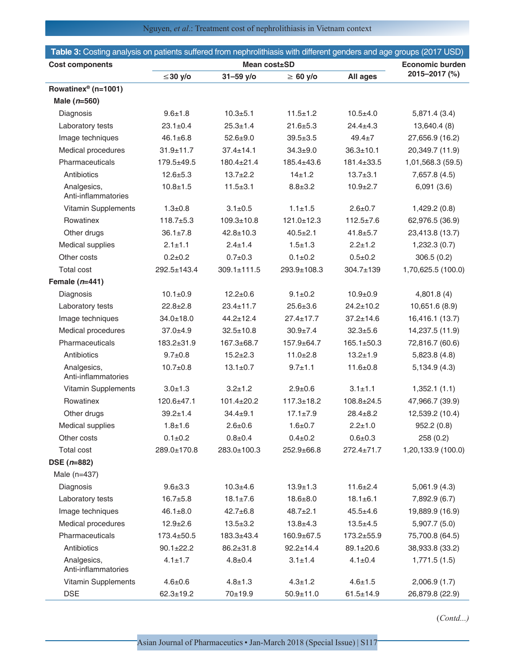# Nguyen, *et al*.: Treatment cost of nephrolithiasis in Vietnam context

| Table 3: Costing analysis on patients suffered from nephrolithiasis with different genders and age groups (2017 USD) |                 |                   |                  |                  |                    |  |
|----------------------------------------------------------------------------------------------------------------------|-----------------|-------------------|------------------|------------------|--------------------|--|
| <b>Cost components</b>                                                                                               | Mean cost±SD    |                   |                  | Economic burden  |                    |  |
|                                                                                                                      | $≤30$ y/o       | $31 - 59$ y/o     | $\geq 60$ y/o    |                  | 2015-2017 (%)      |  |
| Rowatinex <sup>®</sup> (n=1001)                                                                                      |                 |                   |                  |                  |                    |  |
| Male $(n=560)$                                                                                                       |                 |                   |                  |                  |                    |  |
| Diagnosis                                                                                                            | $9.6 + 1.8$     | $10.3 + 5.1$      | $11.5 \pm 1.2$   | $10.5 + 4.0$     | 5,871.4 (3.4)      |  |
| Laboratory tests                                                                                                     | $23.1 \pm 0.4$  | $25.3 \pm 1.4$    | $21.6 \pm 5.3$   | $24.4 \pm 4.3$   | 13,640.4 (8)       |  |
| Image techniques                                                                                                     | $46.1 \pm 6.8$  | $52.6 + 9.0$      | $39.5 + 3.5$     | $49.4 \pm 7$     | 27,656.9 (16.2)    |  |
| Medical procedures                                                                                                   | $31.9 + 11.7$   | $37.4 \pm 14.1$   | $34.3 + 9.0$     | $36.3 \pm 10.1$  | 20,349.7 (11.9)    |  |
| Pharmaceuticals                                                                                                      | 179.5±49.5      | 180.4±21.4        | 185.4±43.6       | 181.4±33.5       | 1,01,568.3 (59.5)  |  |
| Antibiotics                                                                                                          | $12.6 \pm 5.3$  | $13.7+2.2$        | $14 + 1.2$       | $13.7 + 3.1$     | 7,657.8 (4.5)      |  |
| Analgesics,<br>Anti-inflammatories                                                                                   | $10.8 + 1.5$    | $11.5 + 3.1$      | $8.8 + 3.2$      | $10.9 + 2.7$     | 6,091(3.6)         |  |
| Vitamin Supplements                                                                                                  | $1.3 + 0.8$     | $3.1 \pm 0.5$     | $1.1 \pm 1.5$    | $2.6 \pm 0.7$    | 1,429.2 (0.8)      |  |
| Rowatinex                                                                                                            | $118.7 + 5.3$   | $109.3 \pm 10.8$  | $121.0 + 12.3$   | $112.5 \pm 7.6$  | 62,976.5 (36.9)    |  |
| Other drugs                                                                                                          | $36.1 \pm 7.8$  | $42.8 \pm 10.3$   | $40.5 \pm 2.1$   | $41.8 \pm 5.7$   | 23,413.8 (13.7)    |  |
| Medical supplies                                                                                                     | $2.1 \pm 1.1$   | $2.4 \pm 1.4$     | $1.5 + 1.3$      | $2.2 \pm 1.2$    | 1,232.3(0.7)       |  |
| Other costs                                                                                                          | $0.2 + 0.2$     | $0.7 + 0.3$       | $0.1 \pm 0.2$    | $0.5 + 0.2$      | 306.5(0.2)         |  |
| <b>Total cost</b>                                                                                                    | 292.5±143.4     | $309.1 \pm 111.5$ | 293.9±108.3      | $304.7 \pm 139$  | 1,70,625.5 (100.0) |  |
| Female $(n=441)$                                                                                                     |                 |                   |                  |                  |                    |  |
| Diagnosis                                                                                                            | $10.1 \pm 0.9$  | $12.2 \pm 0.6$    | $9.1 \pm 0.2$    | $10.9 + 0.9$     | 4,801.8(4)         |  |
| Laboratory tests                                                                                                     | $22.8 \pm 2.8$  | $23.4 \pm 11.7$   | $25.6 \pm 3.6$   | $24.2 \pm 10.2$  | 10,651.6 (8.9)     |  |
| Image techniques                                                                                                     | $34.0 \pm 18.0$ | $44.2 \pm 12.4$   | $27.4 \pm 17.7$  | $37.2 \pm 14.6$  | 16,416.1 (13.7)    |  |
| Medical procedures                                                                                                   | $37.0 + 4.9$    | $32.5 \pm 10.8$   | $30.9 + 7.4$     | $32.3 + 5.6$     | 14,237.5 (11.9)    |  |
| Pharmaceuticals                                                                                                      | 183.2±31.9      | $167.3 \pm 68.7$  | 157.9±64.7       | $165.1 \pm 50.3$ | 72,816.7 (60.6)    |  |
| Antibiotics                                                                                                          | $9.7 \pm 0.8$   | $15.2 \pm 2.3$    | $11.0 + 2.8$     | $13.2 \pm 1.9$   | 5,823.8(4.8)       |  |
| Analgesics,<br>Anti-inflammatories                                                                                   | $10.7 \pm 0.8$  | $13.1 \pm 0.7$    | $9.7 + 1.1$      | $11.6 \pm 0.8$   | 5,134.9 (4.3)      |  |
| Vitamin Supplements                                                                                                  | $3.0 + 1.3$     | $3.2 \pm 1.2$     | $2.9 \pm 0.6$    | $3.1 \pm 1.1$    | 1,352.1(1.1)       |  |
| Rowatinex                                                                                                            | $120.6 + 47.1$  | $101.4 \pm 20.2$  | $117.3 \pm 18.2$ | $108.8 + 24.5$   | 47,966.7 (39.9)    |  |
| Other drugs                                                                                                          | $39.2 \pm 1.4$  | $34.4 + 9.1$      | $17.1 \pm 7.9$   | $28.4 \pm 8.2$   | 12,539.2 (10.4)    |  |
| Medical supplies                                                                                                     | $1.8 + 1.6$     | $2.6 \pm 0.6$     | $1.6 + 0.7$      | $2.2 \pm 1.0$    | 952.2(0.8)         |  |
| Other costs                                                                                                          | $0.1 \pm 0.2$   | $0.8 + 0.4$       | $0.4 + 0.2$      | $0.6 + 0.3$      | 258(0.2)           |  |
| <b>Total cost</b>                                                                                                    | 289.0±170.8     | 283.0±100.3       | 252.9±66.8       | $272.4 \pm 71.7$ | 1,20,133.9 (100.0) |  |
| $DSE(n=882)$                                                                                                         |                 |                   |                  |                  |                    |  |
| Male (n=437)                                                                                                         |                 |                   |                  |                  |                    |  |
| Diagnosis                                                                                                            | $9.6 + 3.3$     | $10.3 + 4.6$      | $13.9 \pm 1.3$   | $11.6 \pm 2.4$   | 5,061.9(4.3)       |  |
| Laboratory tests                                                                                                     | $16.7 + 5.8$    | $18.1 \pm 7.6$    | $18.6 \pm 8.0$   | $18.1 \pm 6.1$   | 7,892.9 (6.7)      |  |
| Image techniques                                                                                                     | $46.1 \pm 8.0$  | $42.7 \pm 6.8$    | $48.7 \pm 2.1$   | $45.5 \pm 4.6$   | 19,889.9 (16.9)    |  |
| Medical procedures                                                                                                   | $12.9 \pm 2.6$  | $13.5 \pm 3.2$    | $13.8 + 4.3$     | $13.5 + 4.5$     | 5,907.7 (5.0)      |  |
| Pharmaceuticals                                                                                                      | 173.4±50.5      | 183.3±43.4        | 160.9±67.5       | 173.2±55.9       | 75,700.8 (64.5)    |  |
| Antibiotics                                                                                                          | $90.1 \pm 22.2$ | $86.2 \pm 31.8$   | $92.2 \pm 14.4$  | 89.1±20.6        | 38,933.8 (33.2)    |  |
| Analgesics,<br>Anti-inflammatories                                                                                   | $4.1 \pm 1.7$   | $4.8 + 0.4$       | $3.1 \pm 1.4$    | $4.1 \pm 0.4$    | 1,771.5(1.5)       |  |
| Vitamin Supplements                                                                                                  | $4.6 \pm 0.6$   | $4.8 \pm 1.3$     | $4.3 \pm 1.2$    | $4.6 \pm 1.5$    | 2,006.9(1.7)       |  |
| <b>DSE</b>                                                                                                           | $62.3 \pm 19.2$ | 70±19.9           | $50.9 \pm 11.0$  | $61.5 \pm 14.9$  | 26,879.8 (22.9)    |  |

(*Contd...)*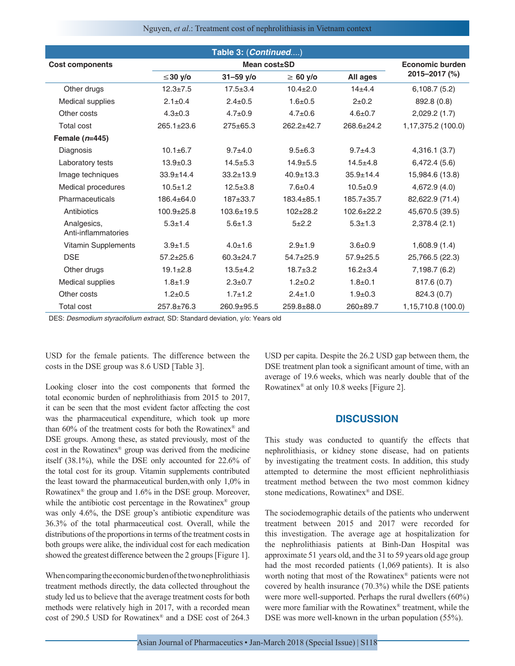#### Nguyen, *et al*.: Treatment cost of nephrolithiasis in Vietnam context

| Table 3: (Continued)               |                  |                  |                 |                  |                    |  |
|------------------------------------|------------------|------------------|-----------------|------------------|--------------------|--|
| <b>Cost components</b>             |                  | Economic burden  |                 |                  |                    |  |
|                                    | ≤30 y/o          | $31 - 59$ y/o    | $\geq 60$ y/o   | All ages         | 2015-2017 (%)      |  |
| Other drugs                        | $12.3 + 7.5$     | $17.5 \pm 3.4$   | $10.4 \pm 2.0$  | $14 + 4.4$       | 6,108.7(5.2)       |  |
| Medical supplies                   | $2.1 \pm 0.4$    | $2.4 \pm 0.5$    | $1.6 + 0.5$     | $2+0.2$          | 892.8 (0.8)        |  |
| Other costs                        | $4.3 \pm 0.3$    | $4.7 \pm 0.9$    | $4.7 \pm 0.6$   | $4.6 \pm 0.7$    | 2,029.2(1.7)       |  |
| Total cost                         | $265.1 \pm 23.6$ | $275 \pm 65.3$   | $262.2 + 42.7$  | $268.6 \pm 24.2$ | 1,17,375.2 (100.0) |  |
| Female $(n=445)$                   |                  |                  |                 |                  |                    |  |
| Diagnosis                          | $10.1 \pm 6.7$   | $9.7 + 4.0$      | $9.5 \pm 6.3$   | $9.7 + 4.3$      | 4,316.1(3.7)       |  |
| Laboratory tests                   | $13.9 + 0.3$     | $14.5 + 5.3$     | $14.9 + 5.5$    | $14.5 + 4.8$     | 6,472.4(5.6)       |  |
| Image techniques                   | $33.9 \pm 14.4$  | $33.2 \pm 13.9$  | $40.9 + 13.3$   | $35.9 \pm 14.4$  | 15,984.6 (13.8)    |  |
| Medical procedures                 | $10.5 + 1.2$     | $12.5 + 3.8$     | $7.6 + 0.4$     | $10.5+0.9$       | 4,672.9 (4.0)      |  |
| Pharmaceuticals                    | 186.4±64.0       | $187 + 33.7$     | $183.4 + 85.1$  | $185.7 + 35.7$   | 82,622.9 (71.4)    |  |
| Antibiotics                        | $100.9 + 25.8$   | $103.6 \pm 19.5$ | $102 + 28.2$    | $102.6 + 22.2$   | 45,670.5 (39.5)    |  |
| Analgesics,<br>Anti-inflammatories | $5.3 \pm 1.4$    | $5.6 \pm 1.3$    | $5 + 2.2$       | $5.3 + 1.3$      | 2,378.4(2.1)       |  |
| Vitamin Supplements                | $3.9 + 1.5$      | $4.0 \pm 1.6$    | $2.9 + 1.9$     | $3.6 + 0.9$      | 1,608.9(1.4)       |  |
| <b>DSE</b>                         | $57.2 \pm 25.6$  | $60.3 \pm 24.7$  | $54.7 \pm 25.9$ | $57.9 \pm 25.5$  | 25,766.5 (22.3)    |  |
| Other drugs                        | $19.1 \pm 2.8$   | $13.5 + 4.2$     | $18.7 + 3.2$    | $16.2 \pm 3.4$   | 7,198.7 (6.2)      |  |
| Medical supplies                   | $1.8 + 1.9$      | $2.3 \pm 0.7$    | $1.2 + 0.2$     | $1.8 + 0.1$      | 817.6 (0.7)        |  |
| Other costs                        | $1.2 \pm 0.5$    | $1.7 \pm 1.2$    | $2.4 \pm 1.0$   | $1.9 + 0.3$      | 824.3 (0.7)        |  |
| <b>Total cost</b>                  | $257.8 \pm 76.3$ | 260.9±95.5       | $259.8 + 88.0$  | $260 + 89.7$     | 1,15,710.8 (100.0) |  |

DES: *Desmodium styracifolium extract*, SD: Standard deviation, y/o: Years old

USD for the female patients. The difference between the costs in the DSE group was 8.6 USD [Table 3].

Looking closer into the cost components that formed the total economic burden of nephrolithiasis from 2015 to 2017, it can be seen that the most evident factor affecting the cost was the pharmaceutical expenditure, which took up more than 60% of the treatment costs for both the Rowatinex® and DSE groups. Among these, as stated previously, most of the cost in the Rowatinex® group was derived from the medicine itself (38.1%), while the DSE only accounted for 22.6% of the total cost for its group. Vitamin supplements contributed the least toward the pharmaceutical burden,with only 1,0% in Rowatinex® the group and 1.6% in the DSE group. Moreover, while the antibiotic cost percentage in the Rowatinex<sup>®</sup> group was only 4.6%, the DSE group's antibiotic expenditure was 36.3% of the total pharmaceutical cost. Overall, while the distributions of the proportions in terms of the treatment costs in both groups were alike, the individual cost for each medication showed the greatest difference between the 2 groups [Figure 1].

When comparing the economic burden of the two nephrolithiasis treatment methods directly, the data collected throughout the study led us to believe that the average treatment costs for both methods were relatively high in 2017, with a recorded mean cost of 290.5 USD for Rowatinex® and a DSE cost of 264.3 USD per capita. Despite the 26.2 USD gap between them, the DSE treatment plan took a significant amount of time, with an average of 19.6 weeks, which was nearly double that of the Rowatinex® at only 10.8 weeks [Figure 2].

## **DISCUSSION**

This study was conducted to quantify the effects that nephrolithiasis, or kidney stone disease, had on patients by investigating the treatment costs. In addition, this study attempted to determine the most efficient nephrolithiasis treatment method between the two most common kidney stone medications, Rowatinex® and DSE.

The sociodemographic details of the patients who underwent treatment between 2015 and 2017 were recorded for this investigation. The average age at hospitalization for the nephrolithiasis patients at Binh-Dan Hospital was approximate 51 years old, and the 31 to 59 years old age group had the most recorded patients (1,069 patients). It is also worth noting that most of the Rowatinex® patients were not covered by health insurance (70.3%) while the DSE patients were more well-supported. Perhaps the rural dwellers (60%) were more familiar with the Rowatinex® treatment, while the DSE was more well-known in the urban population (55%).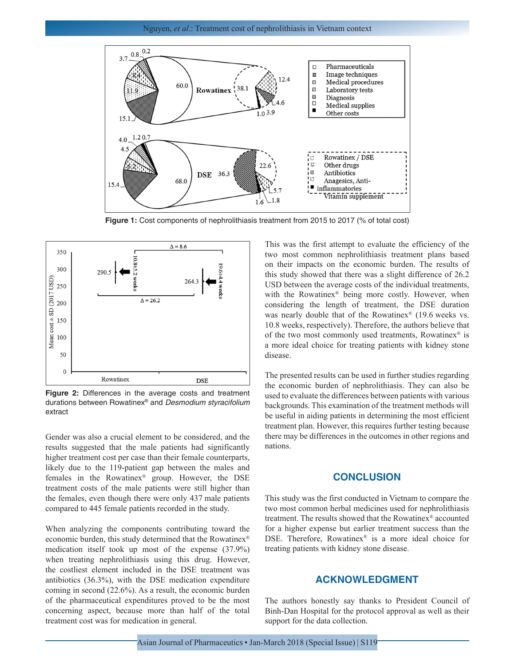

**Figure 1:** Cost components of nephrolithiasis treatment from 2015 to 2017 (% of total cost)



**Figure 2:** Differences in the average costs and treatment durations between Rowatinex® and *Desmodium styracifolium*  extract

Gender was also a crucial element to be considered, and the results suggested that the male patients had significantly higher treatment cost per case than their female counterparts, likely due to the 119-patient gap between the males and females in the Rowatinex® group. However, the DSE treatment costs of the male patients were still higher than the females, even though there were only 437 male patients compared to 445 female patients recorded in the study.

When analyzing the components contributing toward the economic burden, this study determined that the Rowatinex® medication itself took up most of the expense (37.9%) when treating nephrolithiasis using this drug. However, the costliest element included in the DSE treatment was antibiotics (36.3%), with the DSE medication expenditure coming in second (22.6%). As a result, the economic burden of the pharmaceutical expenditures proved to be the most concerning aspect, because more than half of the total treatment cost was for medication in general.

This was the first attempt to evaluate the efficiency of the two most common nephrolithiasis treatment plans based on their impacts on the economic burden. The results of this study showed that there was a slight difference of 26.2 USD between the average costs of the individual treatments, with the Rowatinex<sup>®</sup> being more costly. However, when considering the length of treatment, the DSE duration was nearly double that of the Rowatinex® (19.6 weeks vs. 10.8 weeks, respectively). Therefore, the authors believe that of the two most commonly used treatments, Rowatinex® is a more ideal choice for treating patients with kidney stone disease.

The presented results can be used in further studies regarding the economic burden of nephrolithiasis. They can also be used to evaluate the differences between patients with various backgrounds. This examination of the treatment methods will be useful in aiding patients in determining the most efficient treatment plan. However, this requires further testing because there may be differences in the outcomes in other regions and nations.

## **CONCLUSION**

This study was the first conducted in Vietnam to compare the two most common herbal medicines used for nephrolithiasis treatment. The results showed that the Rowatinex® accounted for a higher expense but earlier treatment success than the DSE. Therefore, Rowatinex® is a more ideal choice for treating patients with kidney stone disease.

# **ACKNOWLEDGMENT**

The authors honestly say thanks to President Council of Binh-Dan Hospital for the protocol approval as well as their support for the data collection.